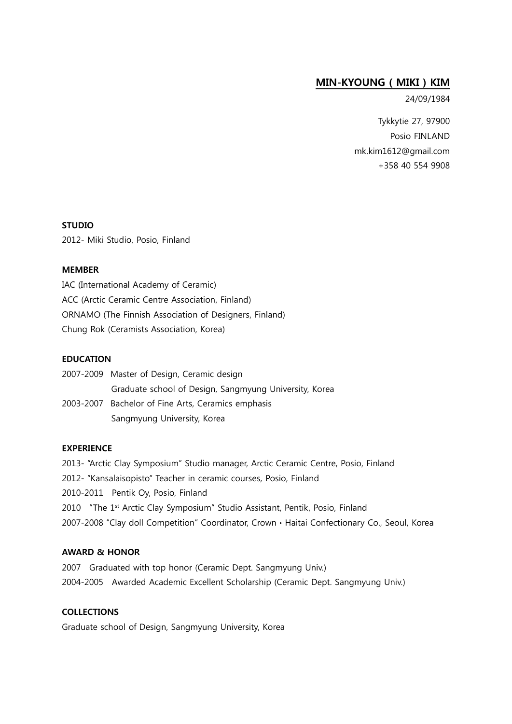# MIN-KYOUNG ( MIKI ) KIM

24/09/1984

Tykkytie 27, 97900 Posio FINLAND [mk.kim1612@gmail.com](mailto:mk.kim1612@gmail.com) +358 40 554 9908

# STUDIO

2012- Miki Studio, Posio, Finland

### MEMBER

IAC (International Academy of Ceramic) ACC (Arctic Ceramic Centre Association, Finland) ORNAMO (The Finnish Association of Designers, Finland) Chung Rok (Ceramists Association, Korea)

#### EDUCATION

| 2007-2009 Master of Design, Ceramic design             |
|--------------------------------------------------------|
| Graduate school of Design, Sangmyung University, Korea |
| 2003-2007 Bachelor of Fine Arts, Ceramics emphasis     |
| Sangmyung University, Korea                            |

#### EXPERIENCE

2013- "Arctic Clay Symposium" Studio manager, Arctic Ceramic Centre, Posio, Finland 2012- "Kansalaisopisto" Teacher in ceramic courses, Posio, Finland 2010-2011 Pentik Oy, Posio, Finland 2010 "The 1<sup>st</sup> Arctic Clay Symposium" Studio Assistant, Pentik, Posio, Finland 2007-2008 "Clay doll Competition" Coordinator, CrownㆍHaitai Confectionary Co., Seoul, Korea

#### AWARD & HONOR

2007 Graduated with top honor (Ceramic Dept. Sangmyung Univ.) 2004-2005 Awarded Academic Excellent Scholarship (Ceramic Dept. Sangmyung Univ.)

# COLLECTIONS

Graduate school of Design, Sangmyung University, Korea